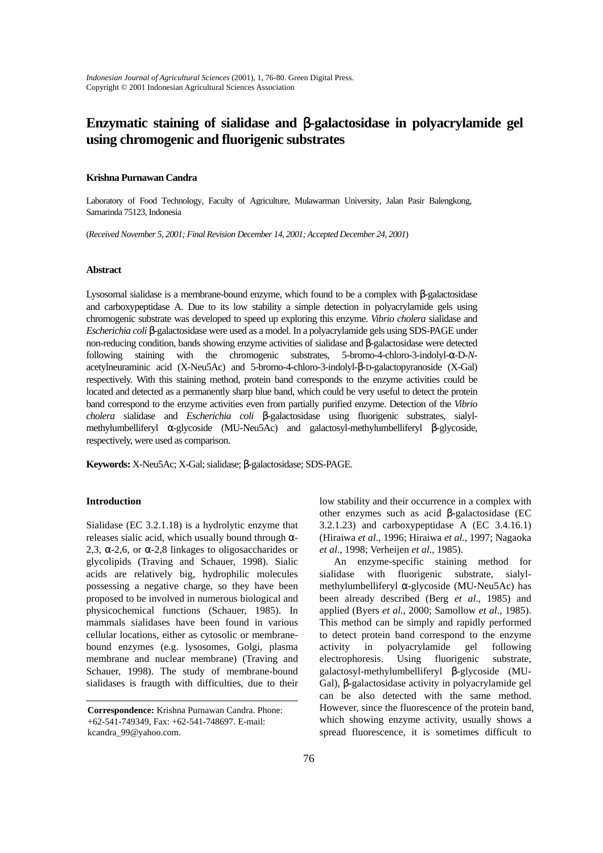*Indonesian Journal of Agricultural Sciences* (2001), 1, 76-80. Green Digital Press. Copyright © 2001 Indonesian Agricultural Sciences Association

# **Enzymatic staining of sialidase and** β**-galactosidase in polyacrylamide gel using chromogenic and fluorigenic substrates**

## **Krishna Purnawan Candra**

Laboratory of Food Technology, Faculty of Agriculture, Mulawarman University, Jalan Pasir Balengkong, Samarinda 75123, Indonesia

(*Received November 5, 2001; Final Revision December 14, 2001; Accepted December 24, 2001*)

## **Abstract**

Lysosomal sialidase is a membrane-bound enzyme, which found to be a complex with β-galactosidase and carboxypeptidase A. Due to its low stability a simple detection in polyacrylamide gels using chromogenic substrate was developed to speed up exploring this enzyme. *Vibrio cholera* sialidase and *Escherichia coli* β-galactosidase were used as a model. In a polyacrylamide gels using SDS-PAGE under non-reducing condition, bands showing enzyme activities of sialidase and β-galactosidase were detected following staining with the chromogenic substrates, 5-bromo-4-chloro-3-indolyl-α-D-*N*acetylneuraminic acid (X-Neu5Ac) and 5-bromo-4-chloro-3-indolyl-β-D-galactopyranoside (X-Gal) respectively. With this staining method, protein band corresponds to the enzyme activities could be located and detected as a permanently sharp blue band, which could be very useful to detect the protein band correspond to the enzyme activities even from partially purified enzyme. Detection of the *Vibrio cholera* sialidase and *Escherichia coli* β-galactosidase using fluorigenic substrates, sialylmethylumbelliferyl α-glycoside (MU-Neu5Ac) and galactosyl-methylumbelliferyl β-glycoside, respectively, were used as comparison.

**Keywords:** X-Neu5Ac; X-Gal; sialidase; β-galactosidase; SDS-PAGE.

# **Introduction**

Sialidase (EC 3.2.1.18) is a hydrolytic enzyme that releases sialic acid, which usually bound through  $\alpha$ -2,3,  $\alpha$ -2,6, or  $\alpha$ -2,8 linkages to oligosaccharides or glycolipids (Traving and Schauer, 1998). Sialic acids are relatively big, hydrophilic molecules possessing a negative charge, so they have been proposed to be involved in numerous biological and physicochemical functions (Schauer, 1985). In mammals sialidases have been found in various cellular locations, either as cytosolic or membranebound enzymes (e.g. lysosomes, Golgi, plasma membrane and nuclear membrane) (Traving and Schauer, 1998). The study of membrane-bound sialidases is fraugth with difficulties, due to their

low stability and their occurrence in a complex with other enzymes such as acid β-galactosidase (EC 3.2.1.23) and carboxypeptidase A (EC 3.4.16.1) (Hiraiwa *et al*., 1996; Hiraiwa *et al*., 1997; Nagaoka *et al*., 1998; Verheijen *et al*., 1985).

An enzyme-specific staining method for sialidase with fluorigenic substrate, sialylmethylumbelliferyl α-glycoside (MU-Neu5Ac) has been already described (Berg *et al*., 1985) and applied (Byers *et al*., 2000; Samollow *et al*., 1985). This method can be simply and rapidly performed to detect protein band correspond to the enzyme activity in polyacrylamide gel following electrophoresis. Using fluorigenic substrate, galactosyl-methylumbelliferyl β-glycoside (MU-Gal), β-galactosidase activity in polyacrylamide gel can be also detected with the same method. However, since the fluorescence of the protein band, which showing enzyme activity, usually shows a spread fluorescence, it is sometimes difficult to

**Correspondence:** Krishna Purnawan Candra. Phone: +62-541-749349, Fax: +62-541-748697. E-mail: kcandra\_99@yahoo.com.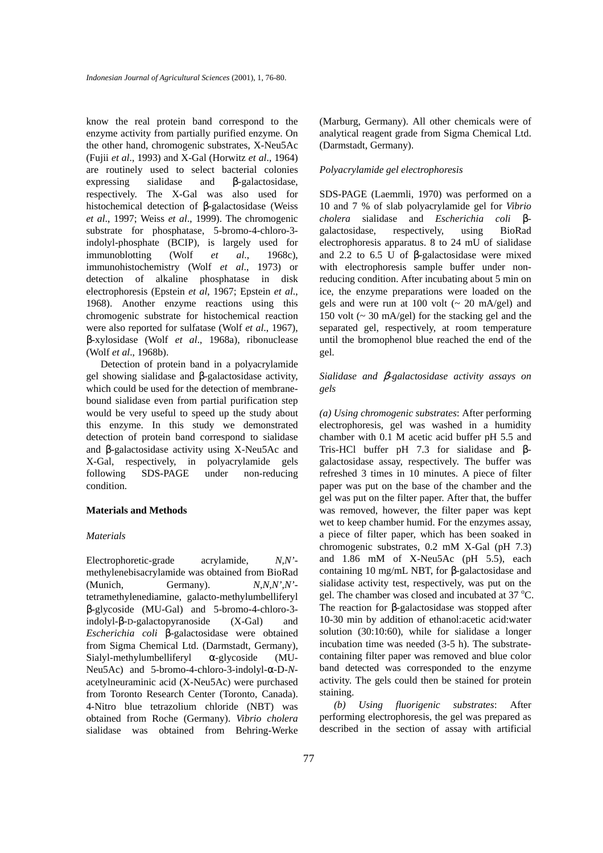know the real protein band correspond to the enzyme activity from partially purified enzyme. On the other hand, chromogenic substrates, X-Neu5Ac (Fujii *et al*., 1993) and X-Gal (Horwitz *et al*., 1964) are routinely used to select bacterial colonies expressing sialidase and β-galactosidase, respectively. The X-Gal was also used for histochemical detection of β-galactosidase (Weiss *et al*., 1997; Weiss *et al*., 1999). The chromogenic substrate for phosphatase, 5-bromo-4-chloro-3 indolyl-phosphate (BCIP), is largely used for immunoblotting (Wolf *et al*., 1968c), immunohistochemistry (Wolf *et al*., 1973) or detection of alkaline phosphatase in disk electrophoresis (Epstein *et al*, 1967; Epstein *et al*., 1968). Another enzyme reactions using this chromogenic substrate for histochemical reaction were also reported for sulfatase (Wolf *et al*., 1967), β-xylosidase (Wolf *et al*., 1968a), ribonuclease (Wolf *et al*., 1968b).

Detection of protein band in a polyacrylamide gel showing sialidase and β-galactosidase activity, which could be used for the detection of membranebound sialidase even from partial purification step would be very useful to speed up the study about this enzyme. In this study we demonstrated detection of protein band correspond to sialidase and β-galactosidase activity using X-Neu5Ac and X-Gal, respectively, in polyacrylamide gels following SDS-PAGE under non-reducing condition.

#### **Materials and Methods**

# *Materials*

Electrophoretic-grade acrylamide, *N,N'* methylenebisacrylamide was obtained from BioRad (Munich, Germany). *N,N,N',N'* tetramethylenediamine, galacto-methylumbelliferyl β-glycoside (MU-Gal) and 5-bromo-4-chloro-3 indolyl-β-D-galactopyranoside (X-Gal) and *Escherichia coli* β-galactosidase were obtained from Sigma Chemical Ltd. (Darmstadt, Germany), Sialyl-methylumbelliferyl α-glycoside (MU-Neu5Ac) and 5-bromo-4-chloro-3-indolyl-α-D-*N*acetylneuraminic acid (X-Neu5Ac) were purchased from Toronto Research Center (Toronto, Canada). 4-Nitro blue tetrazolium chloride (NBT) was obtained from Roche (Germany). *Vibrio cholera* sialidase was obtained from Behring-Werke (Marburg, Germany). All other chemicals were of analytical reagent grade from Sigma Chemical Ltd. (Darmstadt, Germany).

## *Polyacrylamide gel electrophoresis*

SDS-PAGE (Laemmli, 1970) was performed on a 10 and 7 % of slab polyacrylamide gel for *Vibrio cholera* sialidase and *Escherichia coli* βgalactosidase, respectively, using BioRad electrophoresis apparatus. 8 to 24 mU of sialidase and 2.2 to 6.5 U of β-galactosidase were mixed with electrophoresis sample buffer under nonreducing condition. After incubating about 5 min on ice, the enzyme preparations were loaded on the gels and were run at 100 volt  $\left(\sim 20 \text{ mA/gel}\right)$  and 150 volt  $\left(\sim 30 \text{ mA/gel}\right)$  for the stacking gel and the separated gel, respectively, at room temperature until the bromophenol blue reached the end of the gel.

# *Sialidase and* β*-galactosidase activity assays on gels*

*(a) Using chromogenic substrates*: After performing electrophoresis, gel was washed in a humidity chamber with 0.1 M acetic acid buffer pH 5.5 and Tris-HCl buffer pH 7.3 for sialidase and βgalactosidase assay, respectively. The buffer was refreshed 3 times in 10 minutes. A piece of filter paper was put on the base of the chamber and the gel was put on the filter paper. After that, the buffer was removed, however, the filter paper was kept wet to keep chamber humid. For the enzymes assay, a piece of filter paper, which has been soaked in chromogenic substrates, 0.2 mM X-Gal (pH 7.3) and 1.86 mM of X-Neu5Ac (pH 5.5), each containing 10 mg/mL NBT, for β-galactosidase and sialidase activity test, respectively, was put on the gel. The chamber was closed and incubated at 37 °C. The reaction for β-galactosidase was stopped after 10-30 min by addition of ethanol:acetic acid:water solution (30:10:60), while for sialidase a longer incubation time was needed (3-5 h). The substratecontaining filter paper was removed and blue color band detected was corresponded to the enzyme activity. The gels could then be stained for protein staining.

*(b) Using fluorigenic substrates*: After performing electrophoresis, the gel was prepared as described in the section of assay with artificial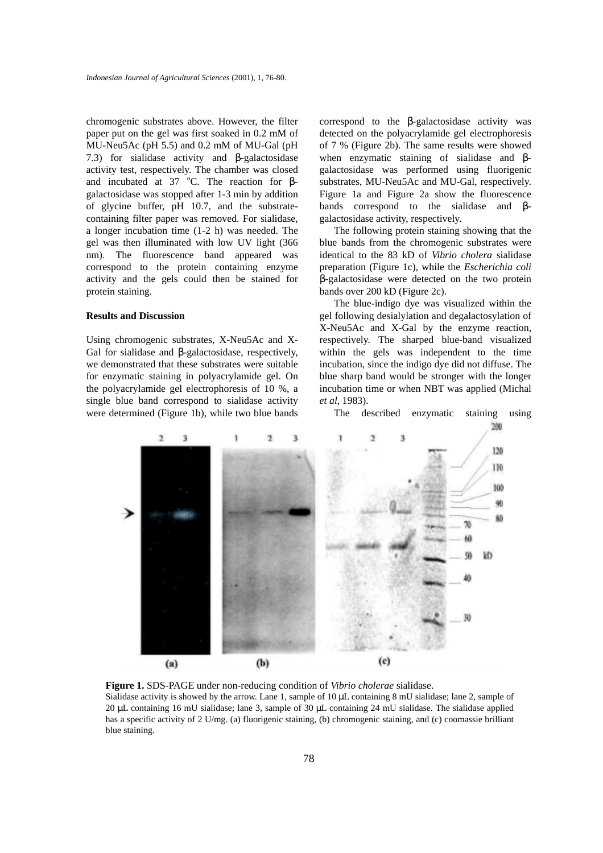chromogenic substrates above. However, the filter paper put on the gel was first soaked in 0.2 mM of MU-Neu5Ac (pH 5.5) and 0.2 mM of MU-Gal (pH 7.3) for sialidase activity and β-galactosidase activity test, respectively. The chamber was closed and incubated at 37  $^{\circ}$ C. The reaction for  $\beta$ galactosidase was stopped after 1-3 min by addition of glycine buffer, pH 10.7, and the substratecontaining filter paper was removed. For sialidase, a longer incubation time (1-2 h) was needed. The gel was then illuminated with low UV light (366 nm). The fluorescence band appeared was correspond to the protein containing enzyme activity and the gels could then be stained for protein staining.

# **Results and Discussion**

Using chromogenic substrates, X-Neu5Ac and X-Gal for sialidase and β-galactosidase, respectively, we demonstrated that these substrates were suitable for enzymatic staining in polyacrylamide gel. On the polyacrylamide gel electrophoresis of 10 %, a single blue band correspond to sialidase activity were determined (Figure 1b), while two blue bands correspond to the β-galactosidase activity was detected on the polyacrylamide gel electrophoresis of 7 % (Figure 2b). The same results were showed when enzymatic staining of sialidase and βgalactosidase was performed using fluorigenic substrates, MU-Neu5Ac and MU-Gal, respectively. Figure 1a and Figure 2a show the fluorescence bands correspond to the sialidase and βgalactosidase activity, respectively.

The following protein staining showing that the blue bands from the chromogenic substrates were identical to the 83 kD of *Vibrio cholera* sialidase preparation (Figure 1c), while the *Escherichia coli* β-galactosidase were detected on the two protein bands over 200 kD (Figure 2c).

The blue-indigo dye was visualized within the gel following desialylation and degalactosylation of X-Neu5Ac and X-Gal by the enzyme reaction, respectively. The sharped blue-band visualized within the gels was independent to the time incubation, since the indigo dye did not diffuse. The blue sharp band would be stronger with the longer incubation time or when NBT was applied (Michal *et al*, 1983).

The described enzymatic staining using



**Figure 1.** SDS-PAGE under non-reducing condition of *Vibrio cholerae* sialidase. Sialidase activity is showed by the arrow. Lane 1, sample of 10 µL containing 8 mU sialidase; lane 2, sample of 20 µL containing 16 mU sialidase; lane 3, sample of 30 µL containing 24 mU sialidase. The sialidase applied has a specific activity of 2 U/mg. (a) fluorigenic staining, (b) chromogenic staining, and (c) coomassie brilliant blue staining.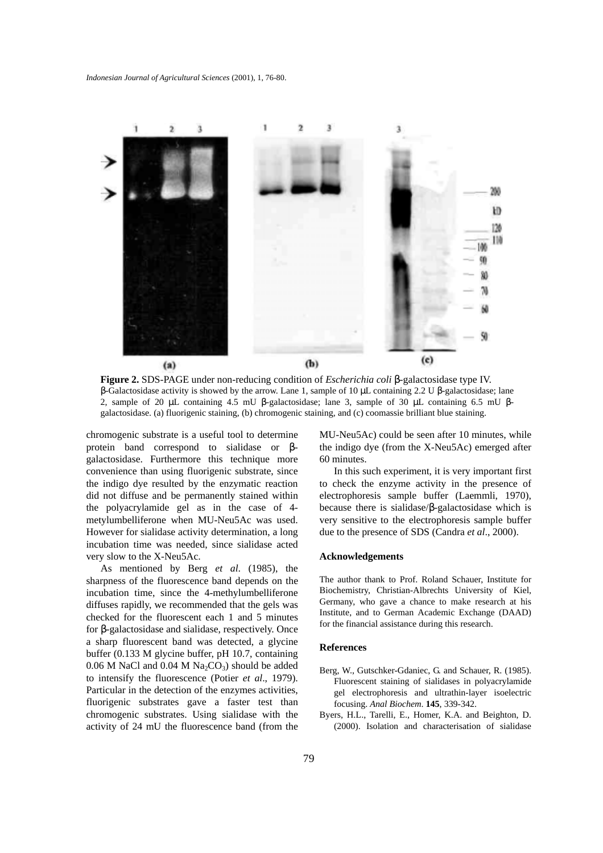

**Figure 2.** SDS-PAGE under non-reducing condition of *Escherichia coli* β-galactosidase type IV. β-Galactosidase activity is showed by the arrow. Lane 1, sample of 10 µL containing 2.2 U β-galactosidase; lane 2, sample of 20 µL containing 4.5 mU β-galactosidase; lane 3, sample of 30 µL containing 6.5 mU βgalactosidase. (a) fluorigenic staining, (b) chromogenic staining, and (c) coomassie brilliant blue staining.

chromogenic substrate is a useful tool to determine protein band correspond to sialidase or βgalactosidase. Furthermore this technique more convenience than using fluorigenic substrate, since the indigo dye resulted by the enzymatic reaction did not diffuse and be permanently stained within the polyacrylamide gel as in the case of 4 metylumbelliferone when MU-Neu5Ac was used. However for sialidase activity determination, a long incubation time was needed, since sialidase acted very slow to the X-Neu5Ac.

As mentioned by Berg *et al*. (1985), the sharpness of the fluorescence band depends on the incubation time, since the 4-methylumbelliferone diffuses rapidly, we recommended that the gels was checked for the fluorescent each 1 and 5 minutes for β-galactosidase and sialidase, respectively. Once a sharp fluorescent band was detected, a glycine buffer (0.133 M glycine buffer, pH 10.7, containing  $0.06$  M NaCl and  $0.04$  M Na<sub>2</sub>CO<sub>3</sub>) should be added to intensify the fluorescence (Potier *et al*., 1979). Particular in the detection of the enzymes activities, fluorigenic substrates gave a faster test than chromogenic substrates. Using sialidase with the activity of 24 mU the fluorescence band (from the MU-Neu5Ac) could be seen after 10 minutes, while the indigo dye (from the X-Neu5Ac) emerged after 60 minutes.

In this such experiment, it is very important first to check the enzyme activity in the presence of electrophoresis sample buffer (Laemmli, 1970), because there is sialidase/β-galactosidase which is very sensitive to the electrophoresis sample buffer due to the presence of SDS (Candra *et al*., 2000).

#### **Acknowledgements**

The author thank to Prof. Roland Schauer, Institute for Biochemistry, Christian-Albrechts University of Kiel, Germany, who gave a chance to make research at his Institute, and to German Academic Exchange (DAAD) for the financial assistance during this research.

#### **References**

- Berg, W., Gutschker-Gdaniec, G. and Schauer, R. (1985). Fluorescent staining of sialidases in polyacrylamide gel electrophoresis and ultrathin-layer isoelectric focusing. *Anal Biochem*. **145**, 339-342.
- Byers, H.L., Tarelli, E., Homer, K.A. and Beighton, D. (2000). Isolation and characterisation of sialidase